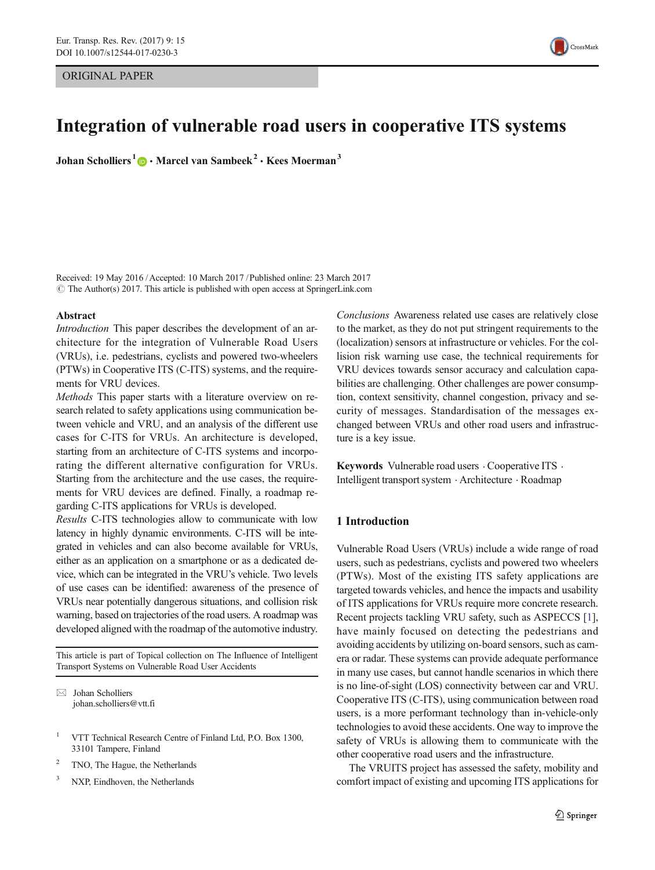

# Integration of vulnerable road users in cooperative ITS systems

Johan Scholliers  $1 \oplus \cdot$  Marcel van Sambeek  $2 \cdot$  Kees Moerman 3

Received: 19 May 2016 /Accepted: 10 March 2017 /Published online: 23 March 2017  $\odot$  The Author(s) 2017. This article is published with open access at SpringerLink.com

#### Abstract

Introduction This paper describes the development of an architecture for the integration of Vulnerable Road Users (VRUs), i.e. pedestrians, cyclists and powered two-wheelers (PTWs) in Cooperative ITS (C-ITS) systems, and the requirements for VRU devices.

Methods This paper starts with a literature overview on research related to safety applications using communication between vehicle and VRU, and an analysis of the different use cases for C-ITS for VRUs. An architecture is developed, starting from an architecture of C-ITS systems and incorporating the different alternative configuration for VRUs. Starting from the architecture and the use cases, the requirements for VRU devices are defined. Finally, a roadmap regarding C-ITS applications for VRUs is developed.

Results C-ITS technologies allow to communicate with low latency in highly dynamic environments. C-ITS will be integrated in vehicles and can also become available for VRUs, either as an application on a smartphone or as a dedicated device, which can be integrated in the VRU's vehicle. Two levels of use cases can be identified: awareness of the presence of VRUs near potentially dangerous situations, and collision risk warning, based on trajectories of the road users. A roadmap was developed aligned with the roadmap of the automotive industry.

This article is part of Topical collection on The Influence of Intelligent Transport Systems on Vulnerable Road User Accidents

 $\boxtimes$  Johan Scholliers johan.scholliers@vtt.fi

- <sup>1</sup> VTT Technical Research Centre of Finland Ltd, P.O. Box 1300, 33101 Tampere, Finland
- TNO, The Hague, the Netherlands
- <sup>3</sup> NXP, Eindhoven, the Netherlands

Conclusions Awareness related use cases are relatively close to the market, as they do not put stringent requirements to the (localization) sensors at infrastructure or vehicles. For the collision risk warning use case, the technical requirements for VRU devices towards sensor accuracy and calculation capabilities are challenging. Other challenges are power consumption, context sensitivity, channel congestion, privacy and security of messages. Standardisation of the messages exchanged between VRUs and other road users and infrastructure is a key issue.

Keywords Vulnerable road users  $\cdot$  Cooperative ITS  $\cdot$ Intelligent transport system . Architecture . Roadmap

#### 1 Introduction

Vulnerable Road Users (VRUs) include a wide range of road users, such as pedestrians, cyclists and powered two wheelers (PTWs). Most of the existing ITS safety applications are targeted towards vehicles, and hence the impacts and usability of ITS applications for VRUs require more concrete research. Recent projects tackling VRU safety, such as ASPECCS [[1\]](#page-7-0), have mainly focused on detecting the pedestrians and avoiding accidents by utilizing on-board sensors, such as camera or radar. These systems can provide adequate performance in many use cases, but cannot handle scenarios in which there is no line-of-sight (LOS) connectivity between car and VRU. Cooperative ITS (C-ITS), using communication between road users, is a more performant technology than in-vehicle-only technologies to avoid these accidents. One way to improve the safety of VRUs is allowing them to communicate with the other cooperative road users and the infrastructure.

The VRUITS project has assessed the safety, mobility and comfort impact of existing and upcoming ITS applications for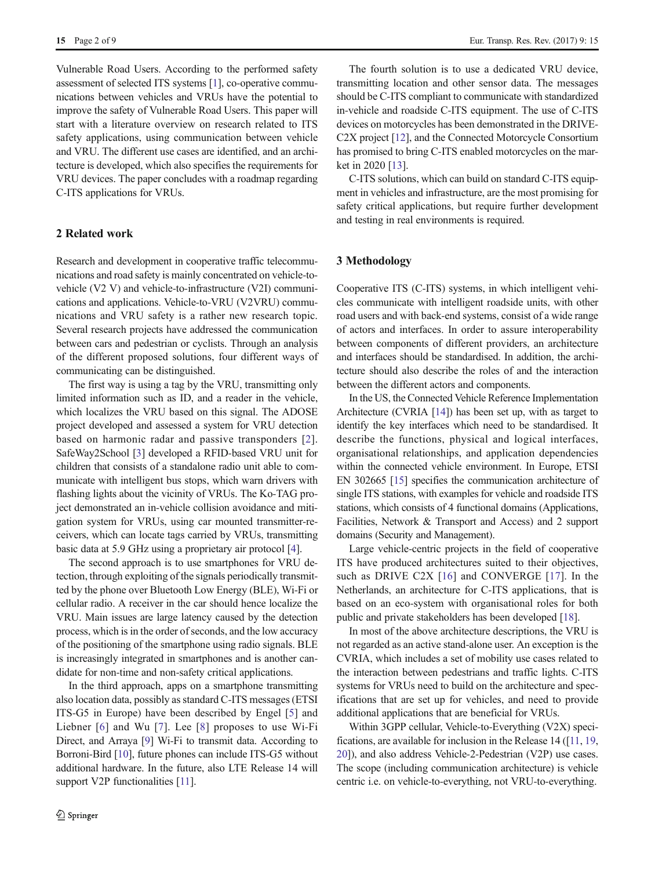Vulnerable Road Users. According to the performed safety assessment of selected ITS systems [\[1](#page-7-0)], co-operative communications between vehicles and VRUs have the potential to improve the safety of Vulnerable Road Users. This paper will start with a literature overview on research related to ITS safety applications, using communication between vehicle and VRU. The different use cases are identified, and an architecture is developed, which also specifies the requirements for VRU devices. The paper concludes with a roadmap regarding C-ITS applications for VRUs.

# 2 Related work

Research and development in cooperative traffic telecommunications and road safety is mainly concentrated on vehicle-tovehicle (V2 V) and vehicle-to-infrastructure (V2I) communications and applications. Vehicle-to-VRU (V2VRU) communications and VRU safety is a rather new research topic. Several research projects have addressed the communication between cars and pedestrian or cyclists. Through an analysis of the different proposed solutions, four different ways of communicating can be distinguished.

The first way is using a tag by the VRU, transmitting only limited information such as ID, and a reader in the vehicle, which localizes the VRU based on this signal. The ADOSE project developed and assessed a system for VRU detection based on harmonic radar and passive transponders [[2](#page-7-0)]. SafeWay2School [[3\]](#page-7-0) developed a RFID-based VRU unit for children that consists of a standalone radio unit able to communicate with intelligent bus stops, which warn drivers with flashing lights about the vicinity of VRUs. The Ko-TAG project demonstrated an in-vehicle collision avoidance and mitigation system for VRUs, using car mounted transmitter-receivers, which can locate tags carried by VRUs, transmitting basic data at 5.9 GHz using a proprietary air protocol [\[4](#page-7-0)].

The second approach is to use smartphones for VRU detection, through exploiting of the signals periodically transmitted by the phone over Bluetooth Low Energy (BLE), Wi-Fi or cellular radio. A receiver in the car should hence localize the VRU. Main issues are large latency caused by the detection process, which is in the order of seconds, and the low accuracy of the positioning of the smartphone using radio signals. BLE is increasingly integrated in smartphones and is another candidate for non-time and non-safety critical applications.

In the third approach, apps on a smartphone transmitting also location data, possibly as standard C-ITS messages (ETSI ITS-G5 in Europe) have been described by Engel [[5\]](#page-7-0) and Liebner [\[6\]](#page-7-0) and Wu [[7](#page-7-0)]. Lee [[8](#page-7-0)] proposes to use Wi-Fi Direct, and Arraya [[9\]](#page-7-0) Wi-Fi to transmit data. According to Borroni-Bird [\[10\]](#page-7-0), future phones can include ITS-G5 without additional hardware. In the future, also LTE Release 14 will support V2P functionalities [[11\]](#page-7-0).

The fourth solution is to use a dedicated VRU device, transmitting location and other sensor data. The messages should be C-ITS compliant to communicate with standardized in-vehicle and roadside C-ITS equipment. The use of C-ITS devices on motorcycles has been demonstrated in the DRIVE-C2X project [\[12\]](#page-7-0), and the Connected Motorcycle Consortium has promised to bring C-ITS enabled motorcycles on the market in 2020 [\[13\]](#page-7-0).

C-ITS solutions, which can build on standard C-ITS equipment in vehicles and infrastructure, are the most promising for safety critical applications, but require further development and testing in real environments is required.

#### 3 Methodology

Cooperative ITS (C-ITS) systems, in which intelligent vehicles communicate with intelligent roadside units, with other road users and with back-end systems, consist of a wide range of actors and interfaces. In order to assure interoperability between components of different providers, an architecture and interfaces should be standardised. In addition, the architecture should also describe the roles of and the interaction between the different actors and components.

In the US, the Connected Vehicle Reference Implementation Architecture (CVRIA [[14](#page-7-0)]) has been set up, with as target to identify the key interfaces which need to be standardised. It describe the functions, physical and logical interfaces, organisational relationships, and application dependencies within the connected vehicle environment. In Europe, ETSI EN 302665 [\[15\]](#page-7-0) specifies the communication architecture of single ITS stations, with examples for vehicle and roadside ITS stations, which consists of 4 functional domains (Applications, Facilities, Network & Transport and Access) and 2 support domains (Security and Management).

Large vehicle-centric projects in the field of cooperative ITS have produced architectures suited to their objectives, such as DRIVE C2X [[16\]](#page-7-0) and CONVERGE [[17\]](#page-7-0). In the Netherlands, an architecture for C-ITS applications, that is based on an eco-system with organisational roles for both public and private stakeholders has been developed [\[18](#page-8-0)].

In most of the above architecture descriptions, the VRU is not regarded as an active stand-alone user. An exception is the CVRIA, which includes a set of mobility use cases related to the interaction between pedestrians and traffic lights. C-ITS systems for VRUs need to build on the architecture and specifications that are set up for vehicles, and need to provide additional applications that are beneficial for VRUs.

Within 3GPP cellular, Vehicle-to-Everything (V2X) specifications, are available for inclusion in the Release 14 ([\[11,](#page-7-0) [19,](#page-8-0) [20\]](#page-8-0)), and also address Vehicle-2-Pedestrian (V2P) use cases. The scope (including communication architecture) is vehicle centric i.e. on vehicle-to-everything, not VRU-to-everything.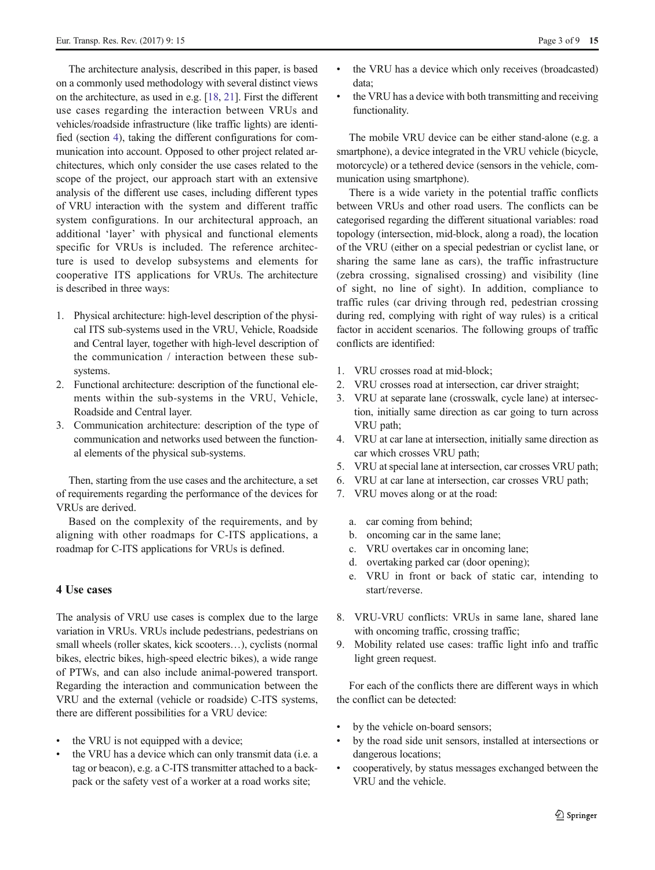<span id="page-2-0"></span>The architecture analysis, described in this paper, is based on a commonly used methodology with several distinct views on the architecture, as used in e.g. [\[18,](#page-8-0) [21\]](#page-8-0). First the different use cases regarding the interaction between VRUs and vehicles/roadside infrastructure (like traffic lights) are identified (section 4), taking the different configurations for communication into account. Opposed to other project related architectures, which only consider the use cases related to the scope of the project, our approach start with an extensive analysis of the different use cases, including different types of VRU interaction with the system and different traffic system configurations. In our architectural approach, an additional 'layer' with physical and functional elements specific for VRUs is included. The reference architecture is used to develop subsystems and elements for cooperative ITS applications for VRUs. The architecture is described in three ways:

- 1. Physical architecture: high-level description of the physical ITS sub-systems used in the VRU, Vehicle, Roadside and Central layer, together with high-level description of the communication / interaction between these subsystems.
- 2. Functional architecture: description of the functional elements within the sub-systems in the VRU, Vehicle, Roadside and Central layer.
- 3. Communication architecture: description of the type of communication and networks used between the functional elements of the physical sub-systems.

Then, starting from the use cases and the architecture, a set of requirements regarding the performance of the devices for VRUs are derived.

Based on the complexity of the requirements, and by aligning with other roadmaps for C-ITS applications, a roadmap for C-ITS applications for VRUs is defined.

## 4 Use cases

The analysis of VRU use cases is complex due to the large variation in VRUs. VRUs include pedestrians, pedestrians on small wheels (roller skates, kick scooters…), cyclists (normal bikes, electric bikes, high-speed electric bikes), a wide range of PTWs, and can also include animal-powered transport. Regarding the interaction and communication between the VRU and the external (vehicle or roadside) C-ITS systems, there are different possibilities for a VRU device:

- the VRU is not equipped with a device;
- the VRU has a device which can only transmit data (i.e. a tag or beacon), e.g. a C-ITS transmitter attached to a backpack or the safety vest of a worker at a road works site;
- the VRU has a device which only receives (broadcasted) data;
- & the VRU has a device with both transmitting and receiving functionality.

The mobile VRU device can be either stand-alone (e.g. a smartphone), a device integrated in the VRU vehicle (bicycle, motorcycle) or a tethered device (sensors in the vehicle, communication using smartphone).

There is a wide variety in the potential traffic conflicts between VRUs and other road users. The conflicts can be categorised regarding the different situational variables: road topology (intersection, mid-block, along a road), the location of the VRU (either on a special pedestrian or cyclist lane, or sharing the same lane as cars), the traffic infrastructure (zebra crossing, signalised crossing) and visibility (line of sight, no line of sight). In addition, compliance to traffic rules (car driving through red, pedestrian crossing during red, complying with right of way rules) is a critical factor in accident scenarios. The following groups of traffic conflicts are identified:

- 1. VRU crosses road at mid-block;
- 2. VRU crosses road at intersection, car driver straight;
- 3. VRU at separate lane (crosswalk, cycle lane) at intersection, initially same direction as car going to turn across VRU path;
- 4. VRU at car lane at intersection, initially same direction as car which crosses VRU path;
- 5. VRU at special lane at intersection, car crosses VRU path;
- 6. VRU at car lane at intersection, car crosses VRU path;
- 7. VRU moves along or at the road:
	- a. car coming from behind;
	- b. oncoming car in the same lane;
	- c. VRU overtakes car in oncoming lane;
	- d. overtaking parked car (door opening);
	- e. VRU in front or back of static car, intending to start/reverse.
- 8. VRU-VRU conflicts: VRUs in same lane, shared lane with oncoming traffic, crossing traffic;
- 9. Mobility related use cases: traffic light info and traffic light green request.

For each of the conflicts there are different ways in which the conflict can be detected:

- by the vehicle on-board sensors;
- by the road side unit sensors, installed at intersections or dangerous locations;
- & cooperatively, by status messages exchanged between the VRU and the vehicle.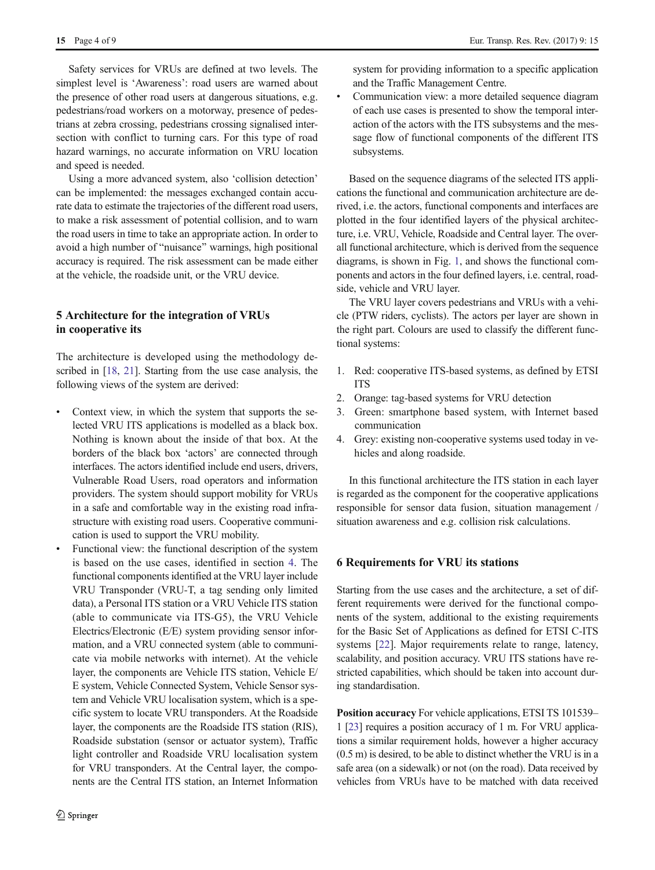15 Page 4 of 9 Eur. Transp. Res. Rev. (2017) 9: 15

Safety services for VRUs are defined at two levels. The simplest level is 'Awareness': road users are warned about the presence of other road users at dangerous situations, e.g. pedestrians/road workers on a motorway, presence of pedestrians at zebra crossing, pedestrians crossing signalised intersection with conflict to turning cars. For this type of road hazard warnings, no accurate information on VRU location and speed is needed.

Using a more advanced system, also 'collision detection' can be implemented: the messages exchanged contain accurate data to estimate the trajectories of the different road users, to make a risk assessment of potential collision, and to warn the road users in time to take an appropriate action. In order to avoid a high number of "nuisance" warnings, high positional accuracy is required. The risk assessment can be made either at the vehicle, the roadside unit, or the VRU device.

# 5 Architecture for the integration of VRUs in cooperative its

The architecture is developed using the methodology de-scribed in [[18,](#page-8-0) [21](#page-8-0)]. Starting from the use case analysis, the following views of the system are derived:

- Context view, in which the system that supports the selected VRU ITS applications is modelled as a black box. Nothing is known about the inside of that box. At the borders of the black box 'actors' are connected through interfaces. The actors identified include end users, drivers, Vulnerable Road Users, road operators and information providers. The system should support mobility for VRUs in a safe and comfortable way in the existing road infrastructure with existing road users. Cooperative communication is used to support the VRU mobility.
- Functional view: the functional description of the system is based on the use cases, identified in section [4](#page-2-0). The functional components identified at the VRU layer include VRU Transponder (VRU-T, a tag sending only limited data), a Personal ITS station or a VRU Vehicle ITS station (able to communicate via ITS-G5), the VRU Vehicle Electrics/Electronic (E/E) system providing sensor information, and a VRU connected system (able to communicate via mobile networks with internet). At the vehicle layer, the components are Vehicle ITS station, Vehicle E/ E system, Vehicle Connected System, Vehicle Sensor system and Vehicle VRU localisation system, which is a specific system to locate VRU transponders. At the Roadside layer, the components are the Roadside ITS station (RIS), Roadside substation (sensor or actuator system), Traffic light controller and Roadside VRU localisation system for VRU transponders. At the Central layer, the components are the Central ITS station, an Internet Information

system for providing information to a specific application and the Traffic Management Centre.

Communication view: a more detailed sequence diagram of each use cases is presented to show the temporal interaction of the actors with the ITS subsystems and the message flow of functional components of the different ITS subsystems.

Based on the sequence diagrams of the selected ITS applications the functional and communication architecture are derived, i.e. the actors, functional components and interfaces are plotted in the four identified layers of the physical architecture, i.e. VRU, Vehicle, Roadside and Central layer. The overall functional architecture, which is derived from the sequence diagrams, is shown in Fig. [1](#page-4-0), and shows the functional components and actors in the four defined layers, i.e. central, roadside, vehicle and VRU layer.

The VRU layer covers pedestrians and VRUs with a vehicle (PTW riders, cyclists). The actors per layer are shown in the right part. Colours are used to classify the different functional systems:

- 1. Red: cooperative ITS-based systems, as defined by ETSI ITS
- 2. Orange: tag-based systems for VRU detection
- 3. Green: smartphone based system, with Internet based communication
- 4. Grey: existing non-cooperative systems used today in vehicles and along roadside.

In this functional architecture the ITS station in each layer is regarded as the component for the cooperative applications responsible for sensor data fusion, situation management / situation awareness and e.g. collision risk calculations.

## 6 Requirements for VRU its stations

Starting from the use cases and the architecture, a set of different requirements were derived for the functional components of the system, additional to the existing requirements for the Basic Set of Applications as defined for ETSI C-ITS systems [[22\]](#page-8-0). Major requirements relate to range, latency, scalability, and position accuracy. VRU ITS stations have restricted capabilities, which should be taken into account during standardisation.

Position accuracy For vehicle applications, ETSI TS 101539– 1 [\[23\]](#page-8-0) requires a position accuracy of 1 m. For VRU applications a similar requirement holds, however a higher accuracy (0.5 m) is desired, to be able to distinct whether the VRU is in a safe area (on a sidewalk) or not (on the road). Data received by vehicles from VRUs have to be matched with data received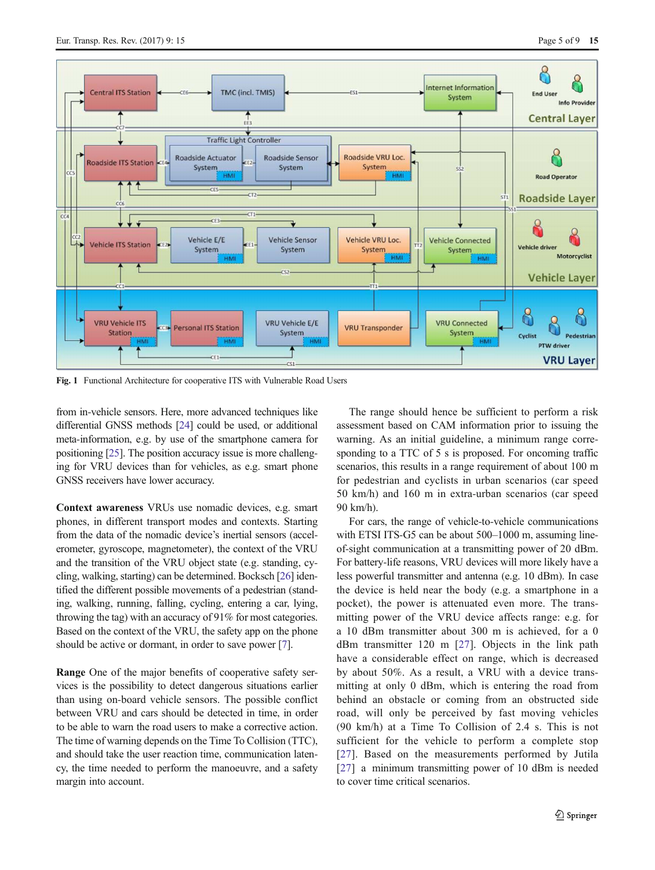<span id="page-4-0"></span>

Fig. 1 Functional Architecture for cooperative ITS with Vulnerable Road Users

from in-vehicle sensors. Here, more advanced techniques like differential GNSS methods [\[24\]](#page-8-0) could be used, or additional meta-information, e.g. by use of the smartphone camera for positioning [\[25\]](#page-8-0). The position accuracy issue is more challenging for VRU devices than for vehicles, as e.g. smart phone GNSS receivers have lower accuracy.

Context awareness VRUs use nomadic devices, e.g. smart phones, in different transport modes and contexts. Starting from the data of the nomadic device's inertial sensors (accelerometer, gyroscope, magnetometer), the context of the VRU and the transition of the VRU object state (e.g. standing, cycling, walking, starting) can be determined. Bocksch [[26](#page-8-0)] identified the different possible movements of a pedestrian (standing, walking, running, falling, cycling, entering a car, lying, throwing the tag) with an accuracy of 91% for most categories. Based on the context of the VRU, the safety app on the phone should be active or dormant, in order to save power [\[7](#page-7-0)].

Range One of the major benefits of cooperative safety services is the possibility to detect dangerous situations earlier than using on-board vehicle sensors. The possible conflict between VRU and cars should be detected in time, in order to be able to warn the road users to make a corrective action. The time of warning depends on the Time To Collision (TTC), and should take the user reaction time, communication latency, the time needed to perform the manoeuvre, and a safety margin into account.

The range should hence be sufficient to perform a risk assessment based on CAM information prior to issuing the warning. As an initial guideline, a minimum range corresponding to a TTC of 5 s is proposed. For oncoming traffic scenarios, this results in a range requirement of about 100 m for pedestrian and cyclists in urban scenarios (car speed 50 km/h) and 160 m in extra-urban scenarios (car speed 90 km/h).

For cars, the range of vehicle-to-vehicle communications with ETSI ITS-G5 can be about 500–1000 m, assuming lineof-sight communication at a transmitting power of 20 dBm. For battery-life reasons, VRU devices will more likely have a less powerful transmitter and antenna (e.g. 10 dBm). In case the device is held near the body (e.g. a smartphone in a pocket), the power is attenuated even more. The transmitting power of the VRU device affects range: e.g. for a 10 dBm transmitter about 300 m is achieved, for a 0 dBm transmitter 120 m [\[27](#page-8-0)]. Objects in the link path have a considerable effect on range, which is decreased by about 50%. As a result, a VRU with a device transmitting at only 0 dBm, which is entering the road from behind an obstacle or coming from an obstructed side road, will only be perceived by fast moving vehicles (90 km/h) at a Time To Collision of 2.4 s. This is not sufficient for the vehicle to perform a complete stop [\[27\]](#page-8-0). Based on the measurements performed by Jutila [\[27\]](#page-8-0) a minimum transmitting power of 10 dBm is needed to cover time critical scenarios.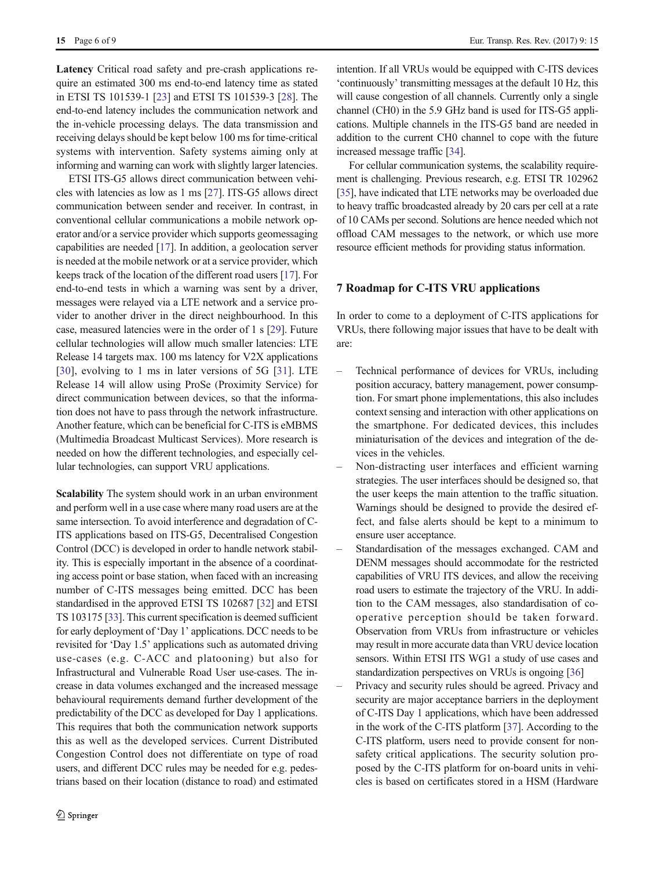Latency Critical road safety and pre-crash applications require an estimated 300 ms end-to-end latency time as stated in ETSI TS 101539-1 [\[23\]](#page-8-0) and ETSI TS 101539-3 [[28\]](#page-8-0). The end-to-end latency includes the communication network and the in-vehicle processing delays. The data transmission and receiving delays should be kept below 100 ms for time-critical systems with intervention. Safety systems aiming only at informing and warning can work with slightly larger latencies.

ETSI ITS-G5 allows direct communication between vehicles with latencies as low as 1 ms [[27\]](#page-8-0). ITS-G5 allows direct communication between sender and receiver. In contrast, in conventional cellular communications a mobile network operator and/or a service provider which supports geomessaging capabilities are needed [\[17\]](#page-7-0). In addition, a geolocation server is needed at the mobile network or at a service provider, which keeps track of the location of the different road users [\[17\]](#page-7-0). For end-to-end tests in which a warning was sent by a driver, messages were relayed via a LTE network and a service provider to another driver in the direct neighbourhood. In this case, measured latencies were in the order of 1 s [[29\]](#page-8-0). Future cellular technologies will allow much smaller latencies: LTE Release 14 targets max. 100 ms latency for V2X applications [\[30](#page-8-0)], evolving to 1 ms in later versions of 5G [[31\]](#page-8-0). LTE Release 14 will allow using ProSe (Proximity Service) for direct communication between devices, so that the information does not have to pass through the network infrastructure. Another feature, which can be beneficial for C-ITS is eMBMS (Multimedia Broadcast Multicast Services). More research is needed on how the different technologies, and especially cellular technologies, can support VRU applications.

Scalability The system should work in an urban environment and perform well in a use case where many road users are at the same intersection. To avoid interference and degradation of C-ITS applications based on ITS-G5, Decentralised Congestion Control (DCC) is developed in order to handle network stability. This is especially important in the absence of a coordinating access point or base station, when faced with an increasing number of C-ITS messages being emitted. DCC has been standardised in the approved ETSI TS 102687 [[32](#page-8-0)] and ETSI TS 103175 [\[33\]](#page-8-0). This current specification is deemed sufficient for early deployment of 'Day 1' applications. DCC needs to be revisited for 'Day 1.5' applications such as automated driving use-cases (e.g. C-ACC and platooning) but also for Infrastructural and Vulnerable Road User use-cases. The increase in data volumes exchanged and the increased message behavioural requirements demand further development of the predictability of the DCC as developed for Day 1 applications. This requires that both the communication network supports this as well as the developed services. Current Distributed Congestion Control does not differentiate on type of road users, and different DCC rules may be needed for e.g. pedestrians based on their location (distance to road) and estimated intention. If all VRUs would be equipped with C-ITS devices 'continuously' transmitting messages at the default 10 Hz, this will cause congestion of all channels. Currently only a single channel (CH0) in the 5.9 GHz band is used for ITS-G5 applications. Multiple channels in the ITS-G5 band are needed in addition to the current CH0 channel to cope with the future increased message traffic [\[34](#page-8-0)].

For cellular communication systems, the scalability requirement is challenging. Previous research, e.g. ETSI TR 102962 [\[35\]](#page-8-0), have indicated that LTE networks may be overloaded due to heavy traffic broadcasted already by 20 cars per cell at a rate of 10 CAMs per second. Solutions are hence needed which not offload CAM messages to the network, or which use more resource efficient methods for providing status information.

# 7 Roadmap for C-ITS VRU applications

In order to come to a deployment of C-ITS applications for VRUs, there following major issues that have to be dealt with are:

- Technical performance of devices for VRUs, including position accuracy, battery management, power consumption. For smart phone implementations, this also includes context sensing and interaction with other applications on the smartphone. For dedicated devices, this includes miniaturisation of the devices and integration of the devices in the vehicles.
- Non-distracting user interfaces and efficient warning strategies. The user interfaces should be designed so, that the user keeps the main attention to the traffic situation. Warnings should be designed to provide the desired effect, and false alerts should be kept to a minimum to ensure user acceptance.
- Standardisation of the messages exchanged. CAM and DENM messages should accommodate for the restricted capabilities of VRU ITS devices, and allow the receiving road users to estimate the trajectory of the VRU. In addition to the CAM messages, also standardisation of cooperative perception should be taken forward. Observation from VRUs from infrastructure or vehicles may result in more accurate data than VRU device location sensors. Within ETSI ITS WG1 a study of use cases and standardization perspectives on VRUs is ongoing [\[36\]](#page-8-0)
- Privacy and security rules should be agreed. Privacy and security are major acceptance barriers in the deployment of C-ITS Day 1 applications, which have been addressed in the work of the C-ITS platform [\[37\]](#page-8-0). According to the C-ITS platform, users need to provide consent for nonsafety critical applications. The security solution proposed by the C-ITS platform for on-board units in vehicles is based on certificates stored in a HSM (Hardware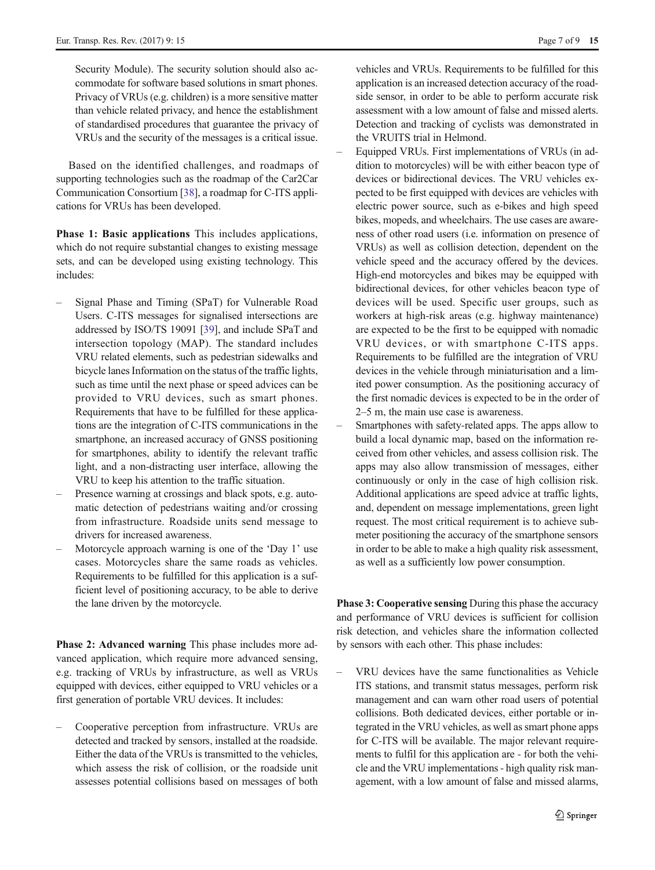Security Module). The security solution should also accommodate for software based solutions in smart phones. Privacy of VRUs (e.g. children) is a more sensitive matter than vehicle related privacy, and hence the establishment of standardised procedures that guarantee the privacy of VRUs and the security of the messages is a critical issue.

Based on the identified challenges, and roadmaps of supporting technologies such as the roadmap of the Car2Car Communication Consortium [[38\]](#page-8-0), a roadmap for C-ITS applications for VRUs has been developed.

Phase 1: Basic applications This includes applications, which do not require substantial changes to existing message sets, and can be developed using existing technology. This includes:

- Signal Phase and Timing (SPaT) for Vulnerable Road Users. C-ITS messages for signalised intersections are addressed by ISO/TS 19091 [\[39\]](#page-8-0), and include SPaT and intersection topology (MAP). The standard includes VRU related elements, such as pedestrian sidewalks and bicycle lanes Information on the status of the traffic lights, such as time until the next phase or speed advices can be provided to VRU devices, such as smart phones. Requirements that have to be fulfilled for these applications are the integration of C-ITS communications in the smartphone, an increased accuracy of GNSS positioning for smartphones, ability to identify the relevant traffic light, and a non-distracting user interface, allowing the VRU to keep his attention to the traffic situation.
- Presence warning at crossings and black spots, e.g. automatic detection of pedestrians waiting and/or crossing from infrastructure. Roadside units send message to drivers for increased awareness.
- Motorcycle approach warning is one of the 'Day 1' use cases. Motorcycles share the same roads as vehicles. Requirements to be fulfilled for this application is a sufficient level of positioning accuracy, to be able to derive the lane driven by the motorcycle.

Phase 2: Advanced warning This phase includes more advanced application, which require more advanced sensing, e.g. tracking of VRUs by infrastructure, as well as VRUs equipped with devices, either equipped to VRU vehicles or a first generation of portable VRU devices. It includes:

– Cooperative perception from infrastructure. VRUs are detected and tracked by sensors, installed at the roadside. Either the data of the VRUs is transmitted to the vehicles, which assess the risk of collision, or the roadside unit assesses potential collisions based on messages of both

vehicles and VRUs. Requirements to be fulfilled for this application is an increased detection accuracy of the roadside sensor, in order to be able to perform accurate risk assessment with a low amount of false and missed alerts. Detection and tracking of cyclists was demonstrated in the VRUITS trial in Helmond.

- Equipped VRUs. First implementations of VRUs (in addition to motorcycles) will be with either beacon type of devices or bidirectional devices. The VRU vehicles expected to be first equipped with devices are vehicles with electric power source, such as e-bikes and high speed bikes, mopeds, and wheelchairs. The use cases are awareness of other road users (i.e. information on presence of VRUs) as well as collision detection, dependent on the vehicle speed and the accuracy offered by the devices. High-end motorcycles and bikes may be equipped with bidirectional devices, for other vehicles beacon type of devices will be used. Specific user groups, such as workers at high-risk areas (e.g. highway maintenance) are expected to be the first to be equipped with nomadic VRU devices, or with smartphone C-ITS apps. Requirements to be fulfilled are the integration of VRU devices in the vehicle through miniaturisation and a limited power consumption. As the positioning accuracy of the first nomadic devices is expected to be in the order of 2–5 m, the main use case is awareness.
- Smartphones with safety-related apps. The apps allow to build a local dynamic map, based on the information received from other vehicles, and assess collision risk. The apps may also allow transmission of messages, either continuously or only in the case of high collision risk. Additional applications are speed advice at traffic lights, and, dependent on message implementations, green light request. The most critical requirement is to achieve submeter positioning the accuracy of the smartphone sensors in order to be able to make a high quality risk assessment, as well as a sufficiently low power consumption.

Phase 3: Cooperative sensing During this phase the accuracy and performance of VRU devices is sufficient for collision risk detection, and vehicles share the information collected by sensors with each other. This phase includes:

– VRU devices have the same functionalities as Vehicle ITS stations, and transmit status messages, perform risk management and can warn other road users of potential collisions. Both dedicated devices, either portable or integrated in the VRU vehicles, as well as smart phone apps for C-ITS will be available. The major relevant requirements to fulfil for this application are - for both the vehicle and the VRU implementations - high quality risk management, with a low amount of false and missed alarms,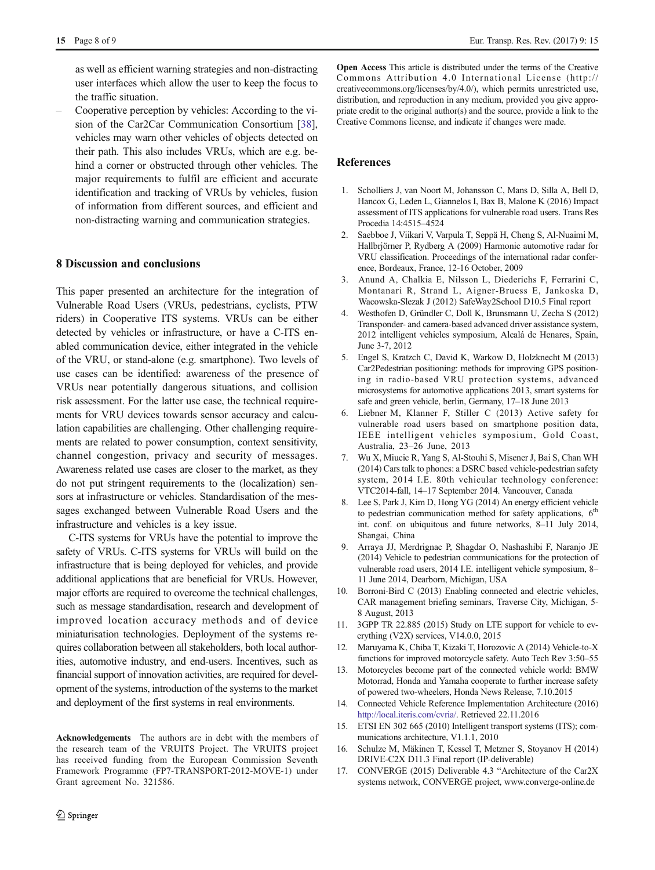<span id="page-7-0"></span>15 Page 8 of 9 Eur. Transp. Res. Rev. (2017) 9: 15

as well as efficient warning strategies and non-distracting user interfaces which allow the user to keep the focus to the traffic situation.

– Cooperative perception by vehicles: According to the vision of the Car2Car Communication Consortium [[38](#page-8-0)], vehicles may warn other vehicles of objects detected on their path. This also includes VRUs, which are e.g. behind a corner or obstructed through other vehicles. The major requirements to fulfil are efficient and accurate identification and tracking of VRUs by vehicles, fusion of information from different sources, and efficient and non-distracting warning and communication strategies.

## 8 Discussion and conclusions

This paper presented an architecture for the integration of Vulnerable Road Users (VRUs, pedestrians, cyclists, PTW riders) in Cooperative ITS systems. VRUs can be either detected by vehicles or infrastructure, or have a C-ITS enabled communication device, either integrated in the vehicle of the VRU, or stand-alone (e.g. smartphone). Two levels of use cases can be identified: awareness of the presence of VRUs near potentially dangerous situations, and collision risk assessment. For the latter use case, the technical requirements for VRU devices towards sensor accuracy and calculation capabilities are challenging. Other challenging requirements are related to power consumption, context sensitivity, channel congestion, privacy and security of messages. Awareness related use cases are closer to the market, as they do not put stringent requirements to the (localization) sensors at infrastructure or vehicles. Standardisation of the messages exchanged between Vulnerable Road Users and the infrastructure and vehicles is a key issue.

C-ITS systems for VRUs have the potential to improve the safety of VRUs. C-ITS systems for VRUs will build on the infrastructure that is being deployed for vehicles, and provide additional applications that are beneficial for VRUs. However, major efforts are required to overcome the technical challenges, such as message standardisation, research and development of improved location accuracy methods and of device miniaturisation technologies. Deployment of the systems requires collaboration between all stakeholders, both local authorities, automotive industry, and end-users. Incentives, such as financial support of innovation activities, are required for development of the systems, introduction of the systems to the market and deployment of the first systems in real environments.

Acknowledgements The authors are in debt with the members of the research team of the VRUITS Project. The VRUITS project has received funding from the European Commission Seventh Framework Programme (FP7-TRANSPORT-2012-MOVE-1) under Grant agreement No. 321586.

Open Access This article is distributed under the terms of the Creative Commons Attribution 4.0 International License (http:// creativecommons.org/licenses/by/4.0/), which permits unrestricted use, distribution, and reproduction in any medium, provided you give appropriate credit to the original author(s) and the source, provide a link to the Creative Commons license, and indicate if changes were made.

### References

- 1. Scholliers J, van Noort M, Johansson C, Mans D, Silla A, Bell D, Hancox G, Leden L, Giannelos I, Bax B, Malone K (2016) Impact assessment of ITS applications for vulnerable road users. Trans Res Procedia 14:4515–4524
- 2. Saebboe J, Viikari V, Varpula T, Seppä H, Cheng S, Al-Nuaimi M, Hallbrjörner P, Rydberg A (2009) Harmonic automotive radar for VRU classification. Proceedings of the international radar conference, Bordeaux, France, 12-16 October, 2009
- 3. Anund A, Chalkia E, Nilsson L, Diederichs F, Ferrarini C, Montanari R, Strand L, Aigner-Bruess E, Jankoska D, Wacowska-Slezak J (2012) SafeWay2School D10.5 Final report
- 4. Westhofen D, Gründler C, Doll K, Brunsmann U, Zecha S (2012) Transponder- and camera-based advanced driver assistance system, 2012 intelligent vehicles symposium, Alcalá de Henares, Spain, June 3-7, 2012
- 5. Engel S, Kratzch C, David K, Warkow D, Holzknecht M (2013) Car2Pedestrian positioning: methods for improving GPS positioning in radio-based VRU protection systems, advanced microsystems for automotive applications 2013, smart systems for safe and green vehicle, berlin, Germany, 17–18 June 2013
- 6. Liebner M, Klanner F, Stiller C (2013) Active safety for vulnerable road users based on smartphone position data, IEEE intelligent vehicles symposium, Gold Coast, Australia, 23–26 June, 2013
- 7. Wu X, Miucic R, Yang S, Al-Stouhi S, Misener J, Bai S, Chan WH (2014) Cars talk to phones: a DSRC based vehicle-pedestrian safety system, 2014 I.E. 80th vehicular technology conference: VTC2014-fall, 14–17 September 2014. Vancouver, Canada
- 8. Lee S, Park J, Kim D, Hong YG (2014) An energy efficient vehicle to pedestrian communication method for safety applications,  $6<sup>th</sup>$ int. conf. on ubiquitous and future networks, 8–11 July 2014, Shangai, China
- 9. Arraya JJ, Merdrignac P, Shagdar O, Nashashibi F, Naranjo JE (2014) Vehicle to pedestrian communications for the protection of vulnerable road users, 2014 I.E. intelligent vehicle symposium, 8– 11 June 2014, Dearborn, Michigan, USA
- 10. Borroni-Bird C (2013) Enabling connected and electric vehicles, CAR management briefing seminars, Traverse City, Michigan, 5- 8 August, 2013
- 11. 3GPP TR 22.885 (2015) Study on LTE support for vehicle to everything (V2X) services, V14.0.0, 2015
- 12. Maruyama K, Chiba T, Kizaki T, Horozovic A (2014) Vehicle-to-X functions for improved motorcycle safety. Auto Tech Rev 3:50–55
- 13. Motorcycles become part of the connected vehicle world: BMW Motorrad, Honda and Yamaha cooperate to further increase safety of powered two-wheelers, Honda News Release, 7.10.2015
- 14. Connected Vehicle Reference Implementation Architecture (2016) [http://local.iteris.com/cvria/.](http://local.iteris.com/cvria/) Retrieved 22.11.2016
- 15. ETSI EN 302 665 (2010) Intelligent transport systems (ITS); communications architecture, V1.1.1, 2010
- 16. Schulze M, Mäkinen T, Kessel T, Metzner S, Stoyanov H (2014) DRIVE-C2X D11.3 Final report (IP-deliverable)
- 17. CONVERGE (2015) Deliverable 4.3 "Architecture of the Car2X systems network, CONVERGE project, www.converge-online.de